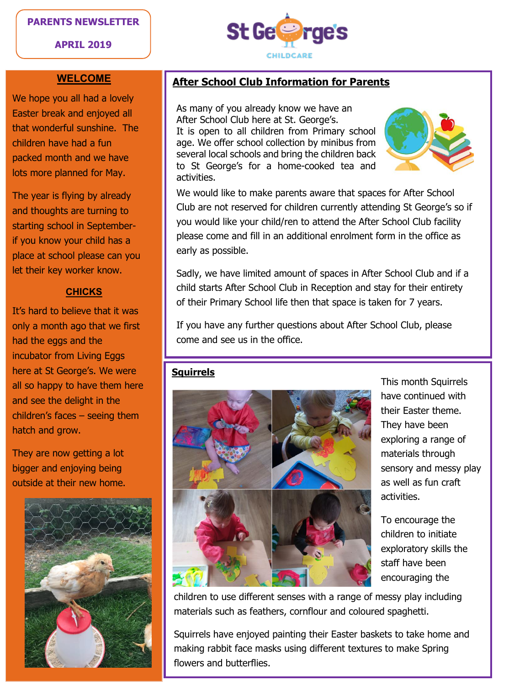## **PARENTS NEWSLETTER**





#### **WELCOME**

We hope you all had a lovely Easter break and enjoyed all that wonderful sunshine. The children have had a fun packed month and we have lots more planned for May.

The year is flying by already and thoughts are turning to starting school in Septemberif you know your child has a place at school please can you let their key worker know.

## **CHICKS**

It's hard to believe that it was only a month ago that we first had the eggs and the incubator from Living Eggs here at St George's. We were all so happy to have them here and see the delight in the children's faces – seeing them hatch and grow.

They are now getting a lot bigger and enjoying being outside at their new home.



# **After School Club Information for Parents**

As many of you already know we have an After School Club here at St. George's. It is open to all children from Primary school age. We offer school collection by minibus from several local schools and bring the children back to St George's for a home-cooked tea and activities.



We would like to make parents aware that spaces for After School Club are not reserved for children currently attending St George's so if you would like your child/ren to attend the After School Club facility please come and fill in an additional enrolment form in the office as early as possible.

Sadly, we have limited amount of spaces in After School Club and if a child starts After School Club in Reception and stay for their entirety of their Primary School life then that space is taken for 7 years.

If you have any further questions about After School Club, please come and see us in the office.

## **Squirrels**



This month Squirrels have continued with their Easter theme. They have been exploring a range of materials through sensory and messy play as well as fun craft activities.

To encourage the children to initiate exploratory skills the staff have been encouraging the

children to use different senses with a range of messy play including materials such as feathers, cornflour and coloured spaghetti.

Squirrels have enjoyed painting their Easter baskets to take home and making rabbit face masks using different textures to make Spring flowers and butterflies.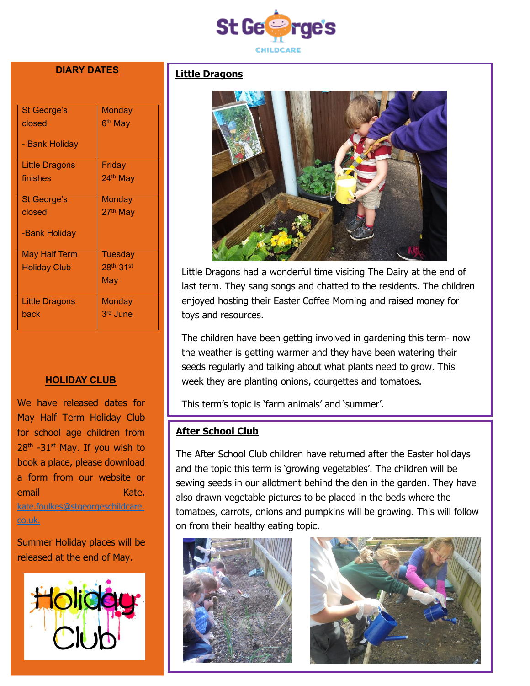

# **DIARY DATES**

| St George's          | <b>Monday</b>         |
|----------------------|-----------------------|
| closed               | 6 <sup>th</sup> May   |
|                      |                       |
| - Bank Holiday       |                       |
|                      |                       |
| Little Dragons       | Friday                |
| finishes             | 24 <sup>th</sup> May  |
|                      |                       |
| St George's          | Monday                |
| closed               | 27 <sup>th</sup> May  |
|                      |                       |
| -Bank Holiday        |                       |
|                      |                       |
| <b>May Half Term</b> | Tuesday               |
| <b>Holiday Club</b>  | 28th <sub>-31st</sub> |
|                      | May                   |
|                      |                       |
| Little Dragons       | Monday                |
| back                 | 3rd June              |
|                      |                       |

#### **HOLIDAY CLUB**

We have released dates for May Half Term Holiday Club for school age children from 28<sup>th</sup> -31<sup>st</sup> May. If you wish to book a place, please download a form from our website or email Kate. [kate.foulkes@stgeorgeschildcare.](mailto:kate.foulkes@stgeorgeschildcare.co.uk) [co.uk.](mailto:kate.foulkes@stgeorgeschildcare.co.uk)

Summer Holiday places will be released at the end of May.



# **Little Dragons**



Little Dragons had a wonderful time visiting The Dairy at the end of last term. They sang songs and chatted to the residents. The children enjoyed hosting their Easter Coffee Morning and raised money for toys and resources.

The children have been getting involved in gardening this term- now the weather is getting warmer and they have been watering their seeds regularly and talking about what plants need to grow. This week they are planting onions, courgettes and tomatoes.

This term's topic is 'farm animals' and 'summer'.

# **After School Club**

The After School Club children have returned after the Easter holidays and the topic this term is 'growing vegetables'. The children will be sewing seeds in our allotment behind the den in the garden. They have also drawn vegetable pictures to be placed in the beds where the tomatoes, carrots, onions and pumpkins will be growing. This will follow on from their healthy eating topic.



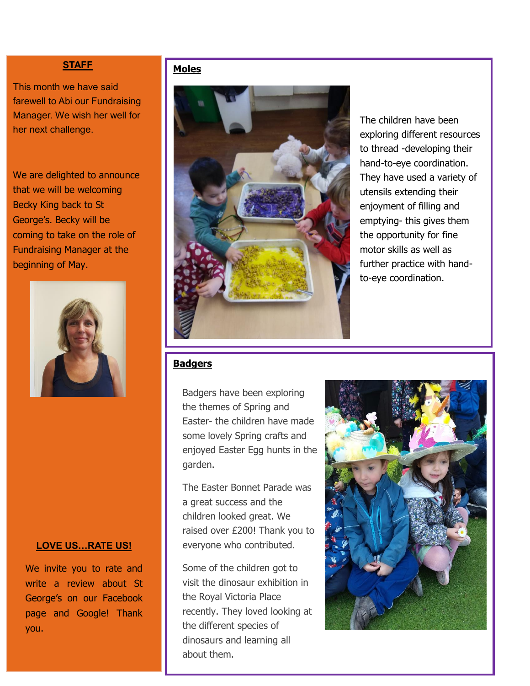# **Moles STAFF**

This month we have said farewell to Abi our Fundraising Manager. We wish her well for her next challenge.

We are delighted to announce that we will be welcoming Becky King back to St George's. Becky will be coming to take on the role of Fundraising Manager at the beginning of May.



#### **LOVE US…RATE US!**

We invite you to rate and write a review about St George's on our Facebook page and Google! Thank you.



The children have been exploring different resources to thread -developing their hand-to-eye coordination. They have used a variety of utensils extending their enjoyment of filling and emptying- this gives them the opportunity for fine motor skills as well as further practice with handto-eye coordination.

# **Badgers**

Badgers have been exploring the themes of Spring and Easter- the children have made some lovely Spring crafts and enjoyed Easter Egg hunts in the garden.

The Easter Bonnet Parade was a great success and the children looked great. We raised over £200! Thank you to everyone who contributed.

Some of the children got to visit the dinosaur exhibition in the Royal Victoria Place recently. They loved looking at the different species of dinosaurs and learning all about them.